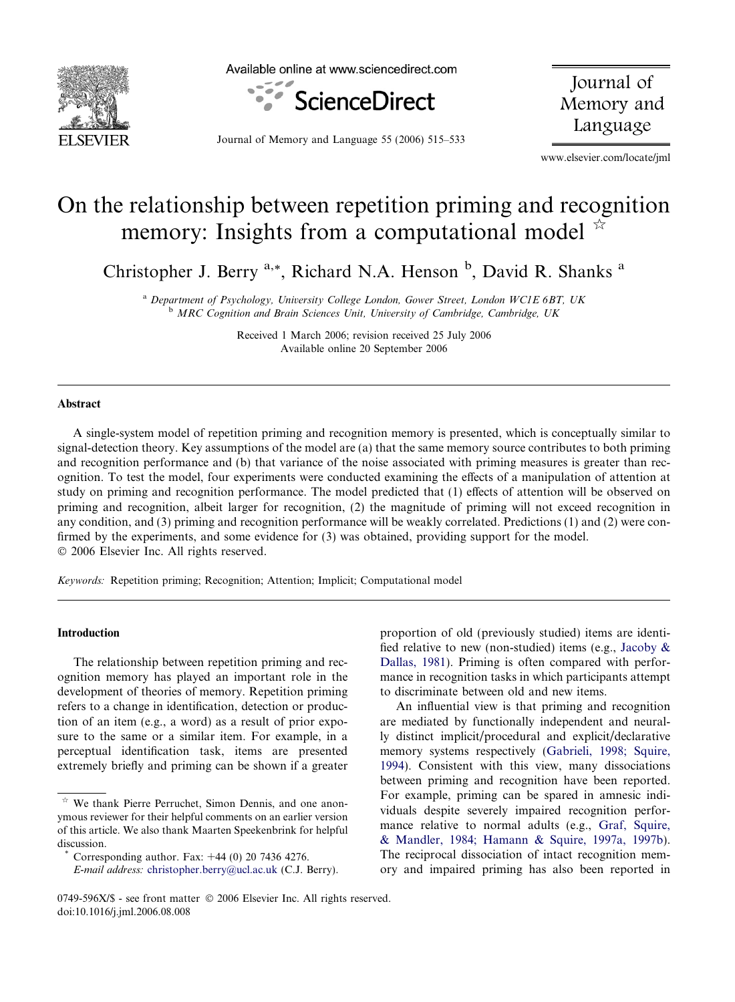

Available online at www.sciencedirect.com



Journal of Memory and Language

Journal of Memory and Language 55 (2006) 515–533

www.elsevier.com/locate/jml

# On the relationship between repetition priming and recognition memory: Insights from a computational model  $\overrightarrow{a}$

Christopher J. Berry <sup>a,\*</sup>, Richard N.A. Henson <sup>b</sup>, David R. Shanks <sup>a</sup>

<sup>a</sup> Department of Psychology, University College London, Gower Street, London WC1E 6BT, UK <sup>b</sup> MRC Cognition and Brain Sciences Unit, University of Cambridge, Cambridge, UK

> Received 1 March 2006; revision received 25 July 2006 Available online 20 September 2006

#### Abstract

A single-system model of repetition priming and recognition memory is presented, which is conceptually similar to signal-detection theory. Key assumptions of the model are (a) that the same memory source contributes to both priming and recognition performance and (b) that variance of the noise associated with priming measures is greater than recognition. To test the model, four experiments were conducted examining the effects of a manipulation of attention at study on priming and recognition performance. The model predicted that (1) effects of attention will be observed on priming and recognition, albeit larger for recognition, (2) the magnitude of priming will not exceed recognition in any condition, and (3) priming and recognition performance will be weakly correlated. Predictions (1) and (2) were confirmed by the experiments, and some evidence for (3) was obtained, providing support for the model.  $© 2006 Elsevier Inc. All rights reserved.$ 

Keywords: Repetition priming; Recognition; Attention; Implicit; Computational model

#### Introduction

The relationship between repetition priming and recognition memory has played an important role in the development of theories of memory. Repetition priming refers to a change in identification, detection or production of an item (e.g., a word) as a result of prior exposure to the same or a similar item. For example, in a perceptual identification task, items are presented extremely briefly and priming can be shown if a greater

Corresponding author. Fax:  $+44$  (0) 20 7436 4276.

proportion of old (previously studied) items are identified relative to new (non-studied) items (e.g., [Jacoby &](#page--1-0) [Dallas, 1981\)](#page--1-0). Priming is often compared with performance in recognition tasks in which participants attempt to discriminate between old and new items.

An influential view is that priming and recognition are mediated by functionally independent and neurally distinct implicit/procedural and explicit/declarative memory systems respectively [\(Gabrieli, 1998; Squire,](#page--1-0) [1994\)](#page--1-0). Consistent with this view, many dissociations between priming and recognition have been reported. For example, priming can be spared in amnesic individuals despite severely impaired recognition performance relative to normal adults (e.g., [Graf, Squire,](#page--1-0) [& Mandler, 1984; Hamann & Squire, 1997a, 1997b](#page--1-0)). The reciprocal dissociation of intact recognition memory and impaired priming has also been reported in

 $\hat{z}$  We thank Pierre Perruchet, Simon Dennis, and one anonymous reviewer for their helpful comments on an earlier version of this article. We also thank Maarten Speekenbrink for helpful discussion.

E-mail address: [christopher.berry@ucl.ac.uk](mailto:christopher.berry@ucl.ac.uk) (C.J. Berry).

<sup>0749-596</sup>X/\$ - see front matter © 2006 Elsevier Inc. All rights reserved. doi:10.1016/j.jml.2006.08.008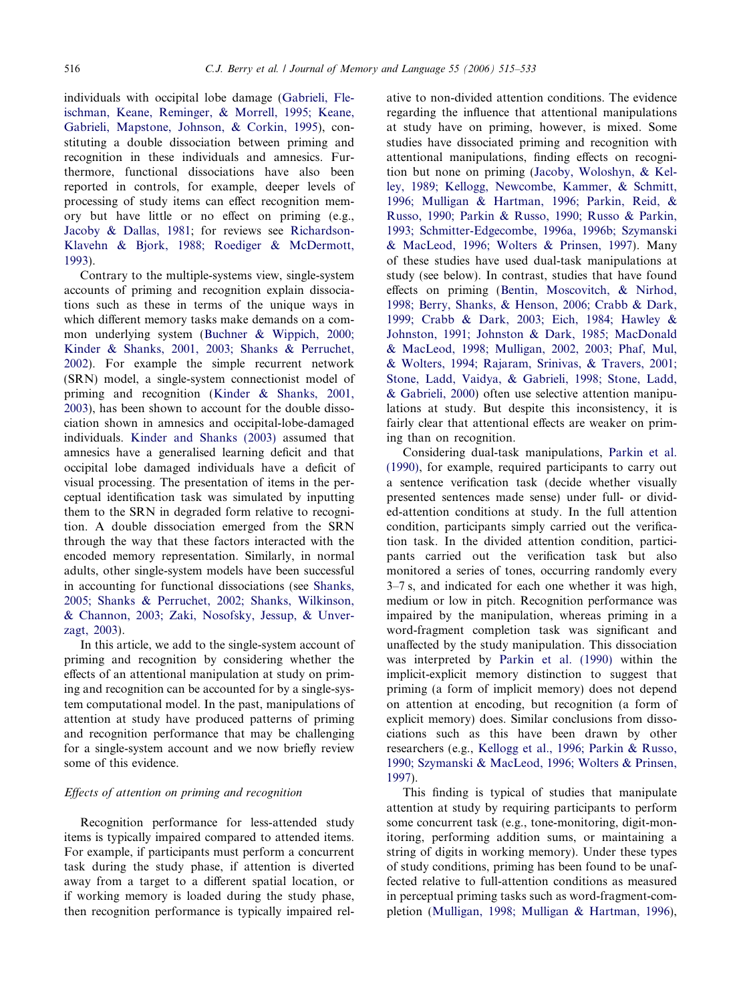individuals with occipital lobe damage [\(Gabrieli, Fle](#page--1-0)[ischman, Keane, Reminger, & Morrell, 1995; Keane,](#page--1-0) [Gabrieli, Mapstone, Johnson, & Corkin, 1995\)](#page--1-0), constituting a double dissociation between priming and recognition in these individuals and amnesics. Furthermore, functional dissociations have also been reported in controls, for example, deeper levels of processing of study items can effect recognition memory but have little or no effect on priming (e.g., [Jacoby & Dallas, 1981](#page--1-0); for reviews see [Richardson-](#page--1-0)[Klavehn & Bjork, 1988; Roediger & McDermott,](#page--1-0) [1993](#page--1-0)).

Contrary to the multiple-systems view, single-system accounts of priming and recognition explain dissociations such as these in terms of the unique ways in which different memory tasks make demands on a common underlying system [\(Buchner & Wippich, 2000;](#page--1-0) [Kinder & Shanks, 2001, 2003; Shanks & Perruchet,](#page--1-0) [2002](#page--1-0)). For example the simple recurrent network (SRN) model, a single-system connectionist model of priming and recognition [\(Kinder & Shanks, 2001,](#page--1-0) [2003](#page--1-0)), has been shown to account for the double dissociation shown in amnesics and occipital-lobe-damaged individuals. [Kinder and Shanks \(2003\)](#page--1-0) assumed that amnesics have a generalised learning deficit and that occipital lobe damaged individuals have a deficit of visual processing. The presentation of items in the perceptual identification task was simulated by inputting them to the SRN in degraded form relative to recognition. A double dissociation emerged from the SRN through the way that these factors interacted with the encoded memory representation. Similarly, in normal adults, other single-system models have been successful in accounting for functional dissociations (see [Shanks,](#page--1-0) [2005; Shanks & Perruchet, 2002; Shanks, Wilkinson,](#page--1-0) [& Channon, 2003; Zaki, Nosofsky, Jessup, & Unver](#page--1-0)[zagt, 2003](#page--1-0)).

In this article, we add to the single-system account of priming and recognition by considering whether the effects of an attentional manipulation at study on priming and recognition can be accounted for by a single-system computational model. In the past, manipulations of attention at study have produced patterns of priming and recognition performance that may be challenging for a single-system account and we now briefly review some of this evidence.

### Effects of attention on priming and recognition

Recognition performance for less-attended study items is typically impaired compared to attended items. For example, if participants must perform a concurrent task during the study phase, if attention is diverted away from a target to a different spatial location, or if working memory is loaded during the study phase, then recognition performance is typically impaired relative to non-divided attention conditions. The evidence regarding the influence that attentional manipulations at study have on priming, however, is mixed. Some studies have dissociated priming and recognition with attentional manipulations, finding effects on recognition but none on priming ([Jacoby, Woloshyn, & Kel](#page--1-0)[ley, 1989; Kellogg, Newcombe, Kammer, & Schmitt,](#page--1-0) [1996; Mulligan & Hartman, 1996; Parkin, Reid, &](#page--1-0) [Russo, 1990; Parkin & Russo, 1990; Russo & Parkin,](#page--1-0) [1993; Schmitter-Edgecombe, 1996a, 1996b; Szymanski](#page--1-0) [& MacLeod, 1996; Wolters & Prinsen, 1997\)](#page--1-0). Many of these studies have used dual-task manipulations at study (see below). In contrast, studies that have found effects on priming ([Bentin, Moscovitch, & Nirhod,](#page--1-0) [1998; Berry, Shanks, & Henson, 2006; Crabb & Dark,](#page--1-0) [1999; Crabb & Dark, 2003; Eich, 1984; Hawley &](#page--1-0) [Johnston, 1991; Johnston & Dark, 1985; MacDonald](#page--1-0) [& MacLeod, 1998; Mulligan, 2002, 2003; Phaf, Mul,](#page--1-0) [& Wolters, 1994; Rajaram, Srinivas, & Travers, 2001;](#page--1-0) [Stone, Ladd, Vaidya, & Gabrieli, 1998; Stone, Ladd,](#page--1-0) [& Gabrieli, 2000\)](#page--1-0) often use selective attention manipulations at study. But despite this inconsistency, it is fairly clear that attentional effects are weaker on priming than on recognition.

Considering dual-task manipulations, [Parkin et al.](#page--1-0) [\(1990\)](#page--1-0), for example, required participants to carry out a sentence verification task (decide whether visually presented sentences made sense) under full- or divided-attention conditions at study. In the full attention condition, participants simply carried out the verification task. In the divided attention condition, participants carried out the verification task but also monitored a series of tones, occurring randomly every 3–7 s, and indicated for each one whether it was high, medium or low in pitch. Recognition performance was impaired by the manipulation, whereas priming in a word-fragment completion task was significant and unaffected by the study manipulation. This dissociation was interpreted by [Parkin et al. \(1990\)](#page--1-0) within the implicit-explicit memory distinction to suggest that priming (a form of implicit memory) does not depend on attention at encoding, but recognition (a form of explicit memory) does. Similar conclusions from dissociations such as this have been drawn by other researchers (e.g., [Kellogg et al., 1996; Parkin & Russo,](#page--1-0) [1990; Szymanski & MacLeod, 1996; Wolters & Prinsen,](#page--1-0) [1997](#page--1-0)).

This finding is typical of studies that manipulate attention at study by requiring participants to perform some concurrent task (e.g., tone-monitoring, digit-monitoring, performing addition sums, or maintaining a string of digits in working memory). Under these types of study conditions, priming has been found to be unaffected relative to full-attention conditions as measured in perceptual priming tasks such as word-fragment-completion [\(Mulligan, 1998; Mulligan & Hartman, 1996](#page--1-0)),